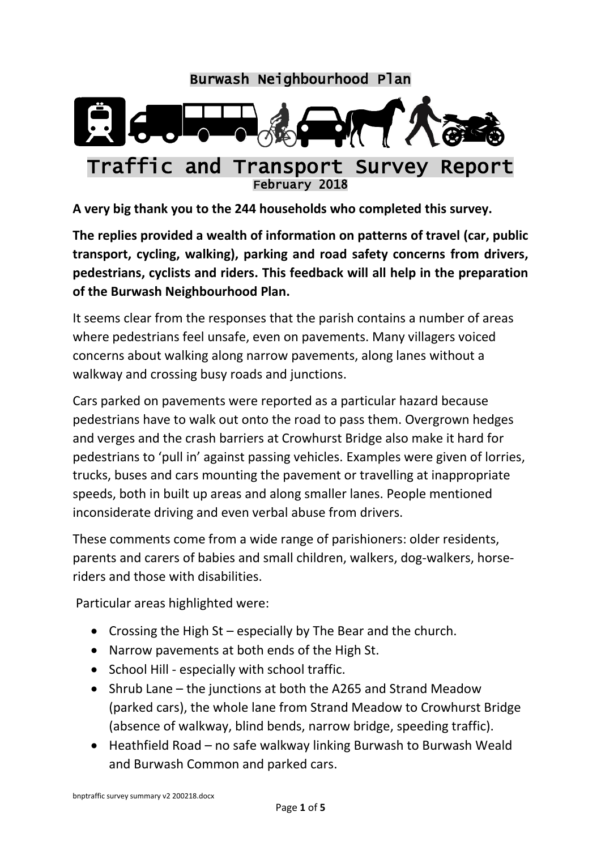

**A very big thank you to the 244 households who completed this survey.**

**The replies provided a wealth of information on patterns of travel (car, public transport, cycling, walking), parking and road safety concerns from drivers, pedestrians, cyclists and riders. This feedback will all help in the preparation of the Burwash Neighbourhood Plan.**

It seems clear from the responses that the parish contains a number of areas where pedestrians feel unsafe, even on pavements. Many villagers voiced concerns about walking along narrow pavements, along lanes without a walkway and crossing busy roads and junctions.

Cars parked on pavements were reported as a particular hazard because pedestrians have to walk out onto the road to pass them. Overgrown hedges and verges and the crash barriers at Crowhurst Bridge also make it hard for pedestrians to 'pull in' against passing vehicles. Examples were given of lorries, trucks, buses and cars mounting the pavement or travelling at inappropriate speeds, both in built up areas and along smaller lanes. People mentioned inconsiderate driving and even verbal abuse from drivers.

These comments come from a wide range of parishioners: older residents, parents and carers of babies and small children, walkers, dog-walkers, horseriders and those with disabilities.

Particular areas highlighted were:

- Crossing the High  $St$  especially by The Bear and the church.
- Narrow pavements at both ends of the High St.
- School Hill especially with school traffic.
- Shrub Lane the junctions at both the A265 and Strand Meadow (parked cars), the whole lane from Strand Meadow to Crowhurst Bridge (absence of walkway, blind bends, narrow bridge, speeding traffic).
- Heathfield Road no safe walkway linking Burwash to Burwash Weald and Burwash Common and parked cars.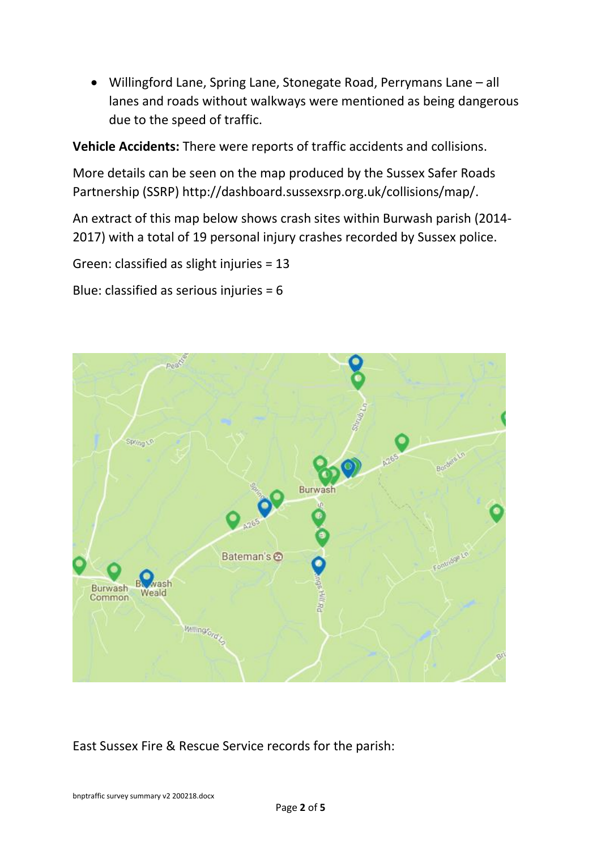Willingford Lane, Spring Lane, Stonegate Road, Perrymans Lane – all lanes and roads without walkways were mentioned as being dangerous due to the speed of traffic.

**Vehicle Accidents:** There were reports of traffic accidents and collisions.

More details can be seen on the map produced by the Sussex Safer Roads Partnership (SSRP) http://dashboard.sussexsrp.org.uk/collisions/map/.

An extract of this map below shows crash sites within Burwash parish (2014- 2017) with a total of 19 personal injury crashes recorded by Sussex police.

Green: classified as slight injuries = 13

Blue: classified as serious injuries = 6



East Sussex Fire & Rescue Service records for the parish:

bnptraffic survey summary v2 200218.docx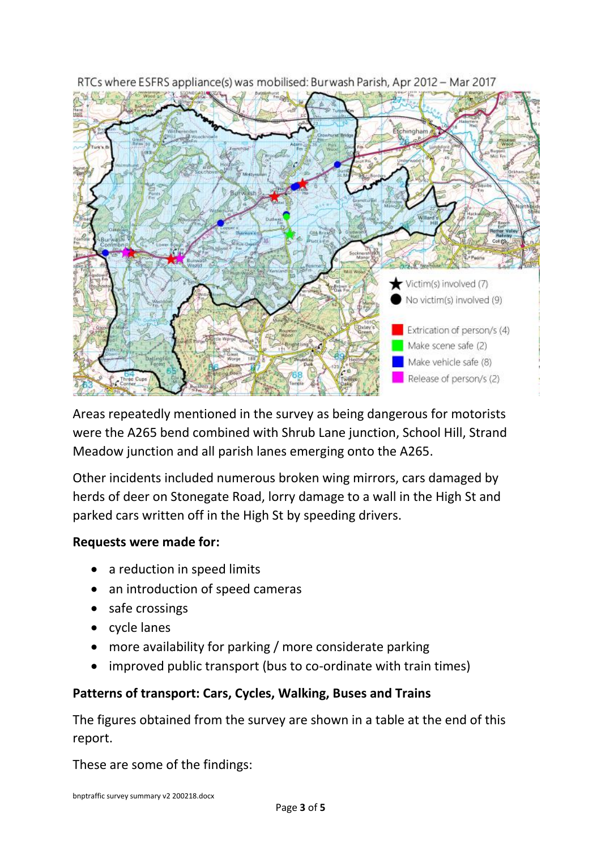

RTCs where ESFRS appliance(s) was mobilised: Burwash Parish, Apr 2012 - Mar 2017

Areas repeatedly mentioned in the survey as being dangerous for motorists were the A265 bend combined with Shrub Lane junction, School Hill, Strand Meadow junction and all parish lanes emerging onto the A265.

Other incidents included numerous broken wing mirrors, cars damaged by herds of deer on Stonegate Road, lorry damage to a wall in the High St and parked cars written off in the High St by speeding drivers.

### **Requests were made for:**

- a reduction in speed limits
- an introduction of speed cameras
- safe crossings
- cycle lanes
- more availability for parking / more considerate parking
- improved public transport (bus to co-ordinate with train times)

# **Patterns of transport: Cars, Cycles, Walking, Buses and Trains**

The figures obtained from the survey are shown in a table at the end of this report.

These are some of the findings: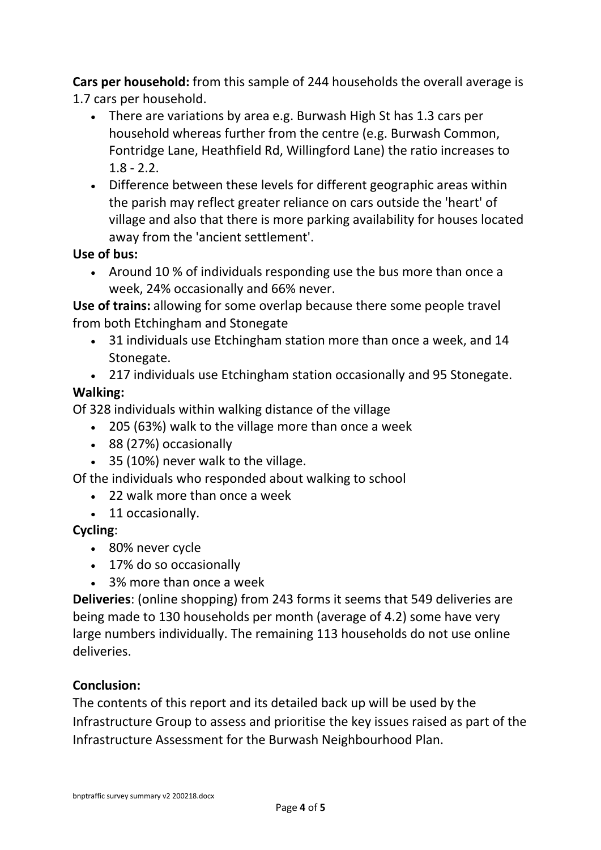**Cars per household:** from this sample of 244 households the overall average is 1.7 cars per household.

- There are variations by area e.g. Burwash High St has 1.3 cars per household whereas further from the centre (e.g. Burwash Common, Fontridge Lane, Heathfield Rd, Willingford Lane) the ratio increases to  $1.8 - 2.2$ .
- Difference between these levels for different geographic areas within the parish may reflect greater reliance on cars outside the 'heart' of village and also that there is more parking availability for houses located away from the 'ancient settlement'.

### **Use of bus:**

• Around 10 % of individuals responding use the bus more than once a week, 24% occasionally and 66% never.

**Use of trains:** allowing for some overlap because there some people travel from both Etchingham and Stonegate

- 31 individuals use Etchingham station more than once a week, and 14 Stonegate.
- 217 individuals use Etchingham station occasionally and 95 Stonegate.

# **Walking:**

Of 328 individuals within walking distance of the village

- 205 (63%) walk to the village more than once a week
- 88 (27%) occasionally
- 35 (10%) never walk to the village.

Of the individuals who responded about walking to school

- 22 walk more than once a week
- 11 occasionally.

### **Cycling**:

- 80% never cycle
- 17% do so occasionally
- 3% more than once a week

**Deliveries**: (online shopping) from 243 forms it seems that 549 deliveries are being made to 130 households per month (average of 4.2) some have very large numbers individually. The remaining 113 households do not use online deliveries.

### **Conclusion:**

The contents of this report and its detailed back up will be used by the Infrastructure Group to assess and prioritise the key issues raised as part of the Infrastructure Assessment for the Burwash Neighbourhood Plan.